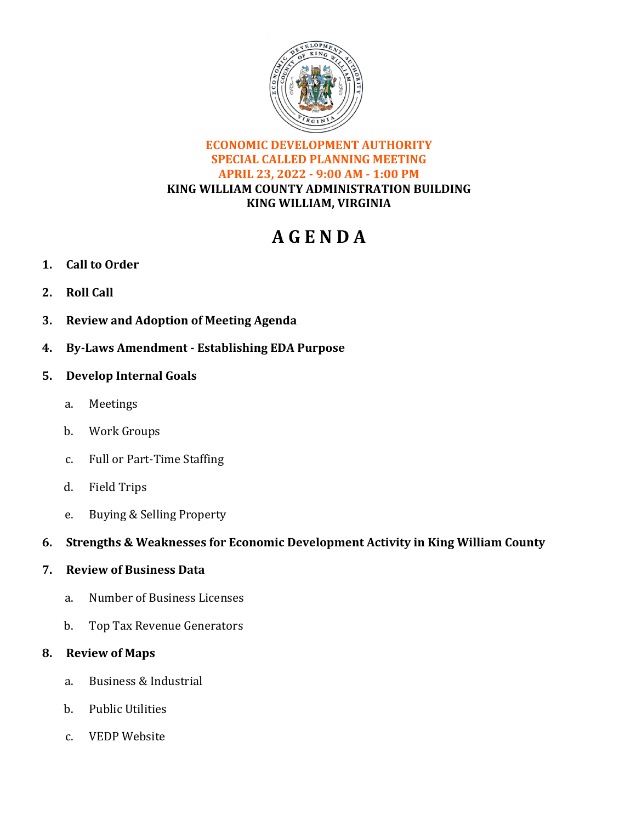

### **ECONOMIC DEVELOPMENT AUTHORITY SPECIAL CALLED PLANNING MEETING APRIL 23, 2022 - 9:00 AM - 1:00 PM KING WILLIAM COUNTY ADMINISTRATION BUILDING KING WILLIAM, VIRGINIA**

# **A G E N D A**

- **1. Call to Order**
- **2. Roll Call**
- **3. Review and Adoption of Meeting Agenda**
- **4. By-Laws Amendment Establishing EDA Purpose**

### **5. Develop Internal Goals**

- a. Meetings
- b. Work Groups
- c. Full or Part-Time Staffing
- d. Field Trips
- e. Buying & Selling Property

### **6. Strengths & Weaknesses for Economic Development Activity in King William County**

### **7. Review of Business Data**

- a. Number of Business Licenses
- b. Top Tax Revenue Generators

### **8. Review of Maps**

- a. Business & Industrial
- b. Public Utilities
- c. VEDP Website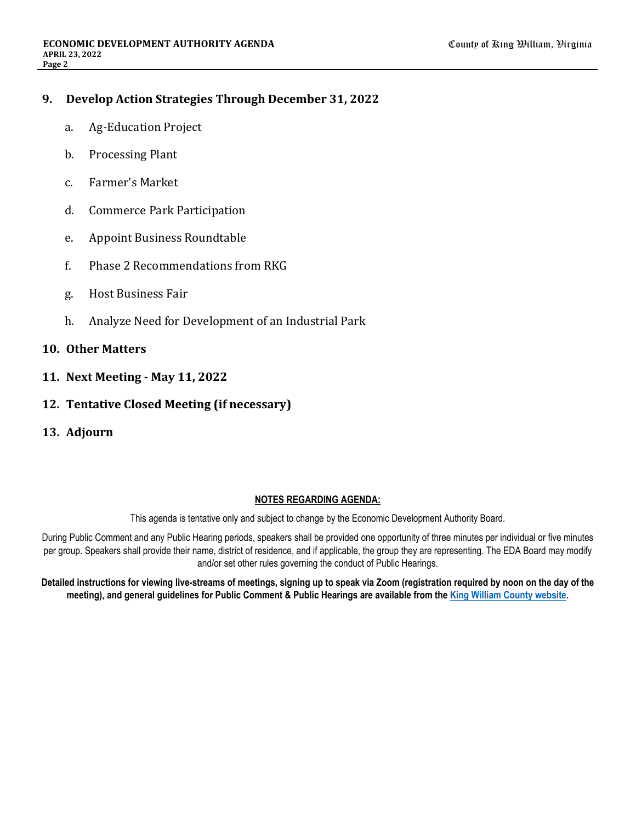### **9. Develop Action Strategies Through December 31, 2022**

- a. Ag-Education Project
- b. Processing Plant
- c. Farmer's Market
- d. Commerce Park Participation
- e. Appoint Business Roundtable
- f. Phase 2 Recommendations from RKG
- g. Host Business Fair
- h. Analyze Need for Development of an Industrial Park

#### **10. Other Matters**

- **11. Next Meeting May 11, 2022**
- **12. Tentative Closed Meeting (if necessary)**
- **13. Adjourn**

#### **NOTES REGARDING AGENDA:**

This agenda is tentative only and subject to change by the Economic Development Authority Board.

During Public Comment and any Public Hearing periods, speakers shall be provided one opportunity of three minutes per individual or five minutes per group. Speakers shall provide their name, district of residence, and if applicable, the group they are representing. The EDA Board may modify and/or set other rules governing the conduct of Public Hearings.

**Detailed instructions for viewing live-streams of meetings, signing up to speak via Zoom (registration required by noon on the day of the meeting), and general guidelines for Public Comment & Public Hearings are available from the [King William County website](https://www.kingwilliamcounty.us/461/Public-Comment-Public-Hearings).**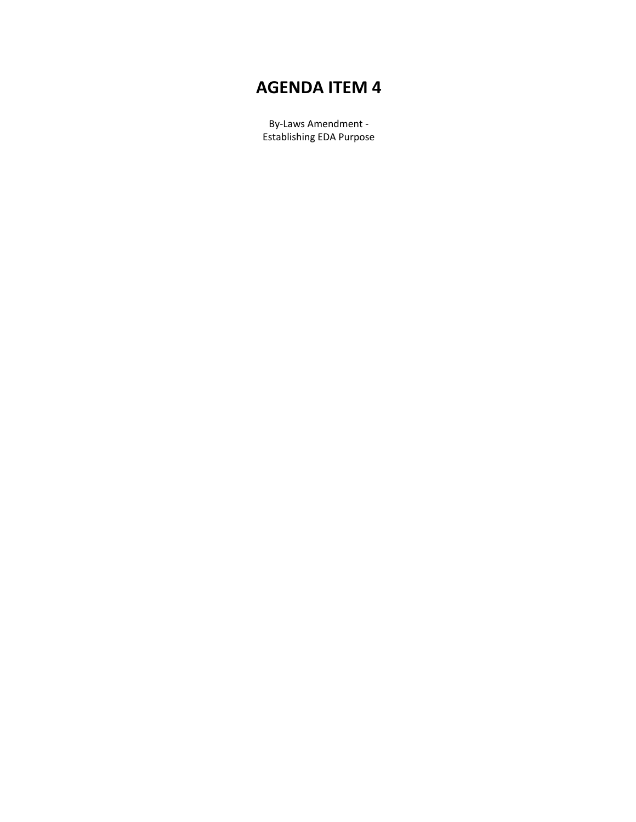## **AGENDA ITEM 4**

By-Laws Amendment - Establishing EDA Purpose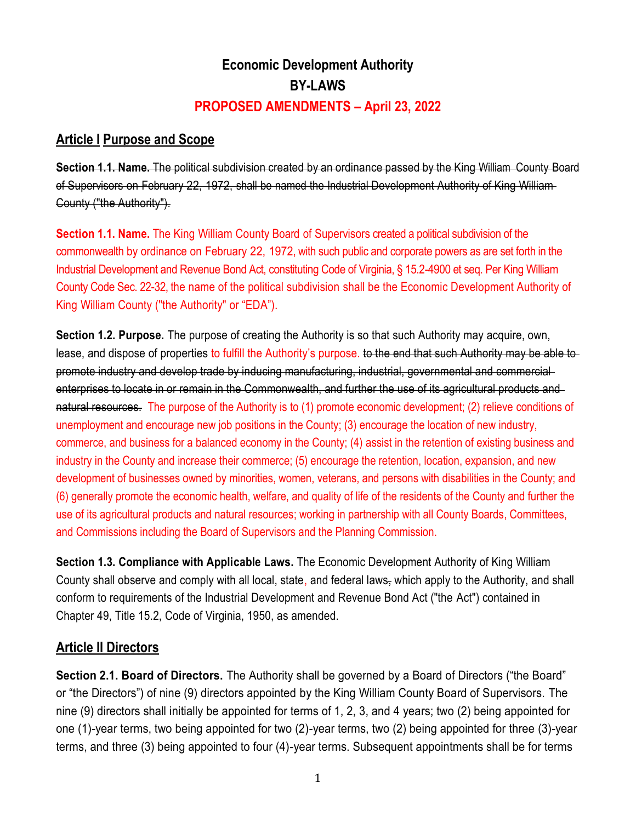## **Economic Development Authority BY-LAWS PROPOSED AMENDMENTS – April 23, 2022**

### **Article I Purpose and Scope**

**Section 1.1. Name.** The political subdivision created by an ordinance passed by the King William. County Board of Supervisors on February 22, 1972, shall be named the Industrial Development Authority of King William County ("the Authority").

**Section 1.1. Name.** The King William County Board of Supervisors created a political subdivision of the commonwealth by ordinance on February 22, 1972, with such public and corporate powers as are set forth in the Industrial Development and Revenue Bond Act, constituting Code of Virginia, § 15.2-4900 et seq. Per King William County Code Sec. 22-32, the name of the political subdivision shall be the Economic Development Authority of King William County ("the Authority" or "EDA").

**Section 1.2. Purpose.** The purpose of creating the Authority is so that such Authority may acquire, own, lease, and dispose of properties to fulfill the Authority's purpose, to the end that such Authority may be able to promote industry and develop trade by inducing manufacturing, industrial, governmental and commercial enterprises to locate in or remain in the Commonwealth, and further the use of its agricultural products and natural resources. The purpose of the Authority is to (1) promote economic development; (2) relieve conditions of unemployment and encourage new job positions in the County; (3) encourage the location of new industry, commerce, and business for a balanced economy in the County; (4) assist in the retention of existing business and industry in the County and increase their commerce; (5) encourage the retention, location, expansion, and new development of businesses owned by minorities, women, veterans, and persons with disabilities in the County; and (6) generally promote the economic health, welfare, and quality of life of the residents of the County and further the use of its agricultural products and natural resources; working in partnership with all County Boards, Committees, and Commissions including the Board of Supervisors and the Planning Commission.

**Section 1.3. Compliance with Applicable Laws.** The Economic Development Authority of King William County shall observe and comply with all local, state, and federal laws, which apply to the Authority, and shall conform to requirements of the Industrial Development and Revenue Bond Act ("the Act") contained in Chapter 49, Title 15.2, Code of Virginia, 1950, as amended.

## **Article II Directors**

**Section 2.1. Board of Directors.** The Authority shall be governed by a Board of Directors ("the Board" or "the Directors") of nine (9) directors appointed by the King William County Board of Supervisors. The nine (9) directors shall initially be appointed for terms of 1, 2, 3, and 4 years; two (2) being appointed for one (1)-year terms, two being appointed for two (2)-year terms, two (2) being appointed for three (3)-year terms, and three (3) being appointed to four (4)-year terms. Subsequent appointments shall be for terms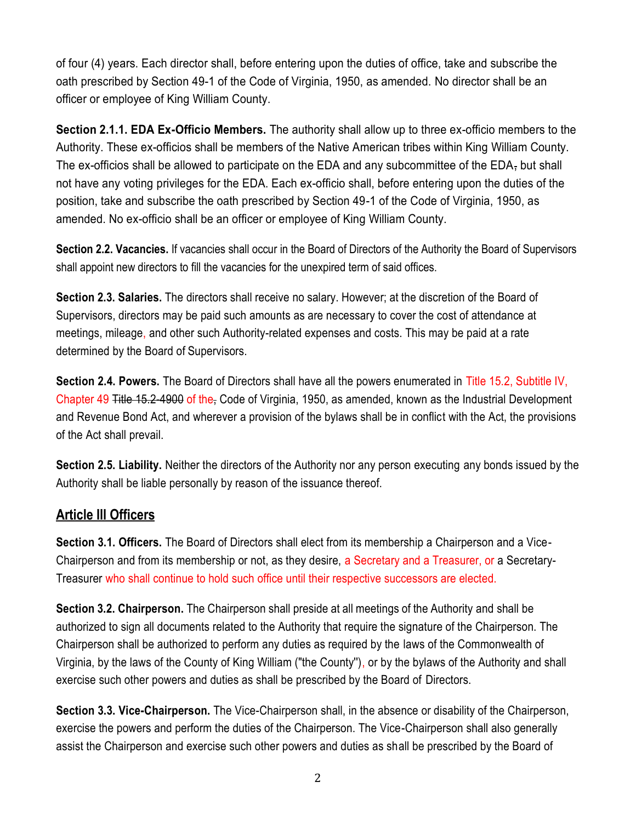of four (4) years. Each director shall, before entering upon the duties of office, take and subscribe the oath prescribed by Section 49-1 of the Code of Virginia, 1950, as amended. No director shall be an officer or employee of King William County.

**Section 2.1.1. EDA Ex-Officio Members.** The authority shall allow up to three ex-officio members to the Authority. These ex-officios shall be members of the Native American tribes within King William County. The ex-officios shall be allowed to participate on the EDA and any subcommittee of the EDA, but shall not have any voting privileges for the EDA. Each ex-officio shall, before entering upon the duties of the position, take and subscribe the oath prescribed by Section 49-1 of the Code of Virginia, 1950, as amended. No ex-officio shall be an officer or employee of King William County.

**Section 2.2. Vacancies.** If vacancies shall occur in the Board of Directors of the Authority the Board of Supervisors shall appoint new directors to fill the vacancies for the unexpired term of said offices.

**Section 2.3. Salaries.** The directors shall receive no salary. However; at the discretion of the Board of Supervisors, directors may be paid such amounts as are necessary to cover the cost of attendance at meetings, mileage, and other such Authority-related expenses and costs. This may be paid at a rate determined by the Board of Supervisors.

**Section 2.4. Powers.** The Board of Directors shall have all the powers enumerated in Title 15.2, Subtitle IV, Chapter 49 Title 15.2-4900 of the, Code of Virginia, 1950, as amended, known as the Industrial Development and Revenue Bond Act, and wherever a provision of the bylaws shall be in conflict with the Act, the provisions of the Act shall prevail.

**Section 2.5. Liability.** Neither the directors of the Authority nor any person executing any bonds issued by the Authority shall be liable personally by reason of the issuance thereof.

## **Article Ill Officers**

**Section 3.1. Officers.** The Board of Directors shall elect from its membership a Chairperson and a Vice-Chairperson and from its membership or not, as they desire, a Secretary and a Treasurer, or a Secretary-Treasurer who shall continue to hold such office until their respective successors are elected.

**Section 3.2. Chairperson.** The Chairperson shall preside at all meetings of the Authority and shall be authorized to sign all documents related to the Authority that require the signature of the Chairperson. The Chairperson shall be authorized to perform any duties as required by the laws of the Commonwealth of Virginia, by the laws of the County of King William ("the County''), or by the bylaws of the Authority and shall exercise such other powers and duties as shall be prescribed by the Board of Directors.

**Section 3.3. Vice-Chairperson.** The Vice-Chairperson shall, in the absence or disability of the Chairperson, exercise the powers and perform the duties of the Chairperson. The Vice-Chairperson shall also generally assist the Chairperson and exercise such other powers and duties as shall be prescribed by the Board of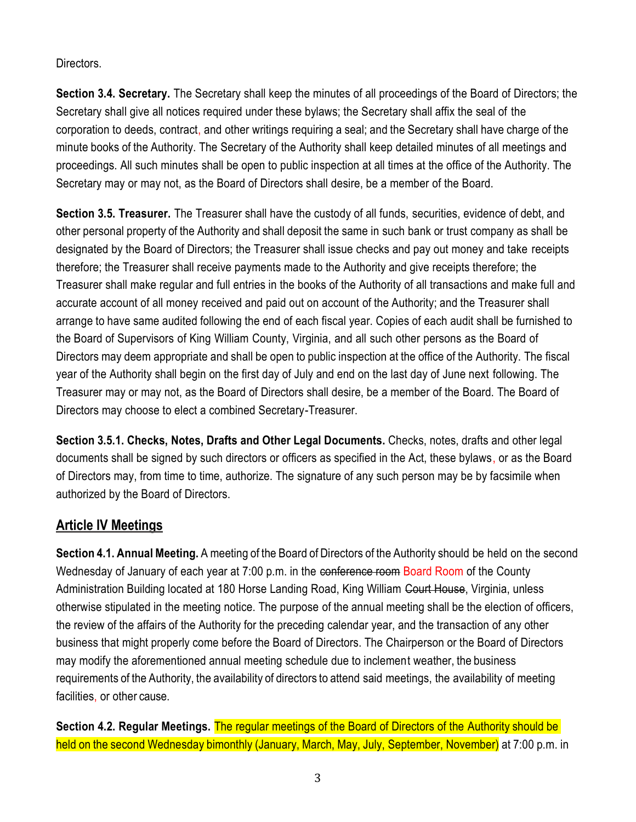Directors.

**Section 3.4. Secretary.** The Secretary shall keep the minutes of all proceedings of the Board of Directors; the Secretary shall give all notices required under these bylaws; the Secretary shall affix the seal of the corporation to deeds, contract, and other writings requiring a seal; and the Secretary shall have charge of the minute books of the Authority. The Secretary of the Authority shall keep detailed minutes of all meetings and proceedings. All such minutes shall be open to public inspection at all times at the office of the Authority. The Secretary may or may not, as the Board of Directors shall desire, be a member of the Board.

**Section 3.5. Treasurer.** The Treasurer shall have the custody of all funds, securities, evidence of debt, and other personal property of the Authority and shall deposit the same in such bank or trust company as shall be designated by the Board of Directors; the Treasurer shall issue checks and pay out money and take receipts therefore; the Treasurer shall receive payments made to the Authority and give receipts therefore; the Treasurer shall make regular and full entries in the books of the Authority of all transactions and make full and accurate account of all money received and paid out on account of the Authority; and the Treasurer shall arrange to have same audited following the end of each fiscal year. Copies of each audit shall be furnished to the Board of Supervisors of King William County, Virginia, and all such other persons as the Board of Directors may deem appropriate and shall be open to public inspection at the office of the Authority. The fiscal year of the Authority shall begin on the first day of July and end on the last day of June next following. The Treasurer may or may not, as the Board of Directors shall desire, be a member of the Board. The Board of Directors may choose to elect a combined Secretary-Treasurer.

**Section 3.5.1. Checks, Notes, Drafts and Other Legal Documents.** Checks, notes, drafts and other legal documents shall be signed by such directors or officers as specified in the Act, these bylaws, or as the Board of Directors may, from time to time, authorize. The signature of any such person may be by facsimile when authorized by the Board of Directors.

## **Article IV Meetings**

**Section 4.1. Annual Meeting.** A meeting of the Board of Directors of the Authority should be held on the second Wednesday of January of each year at 7:00 p.m. in the conference room Board Room of the County Administration Building located at 180 Horse Landing Road, King William Court House, Virginia, unless otherwise stipulated in the meeting notice. The purpose of the annual meeting shall be the election of officers, the review of the affairs of the Authority for the preceding calendar year, and the transaction of any other business that might properly come before the Board of Directors. The Chairperson or the Board of Directors may modify the aforementioned annual meeting schedule due to inclement weather, the business requirements of the Authority, the availability of directors to attend said meetings, the availability of meeting facilities, or other cause.

**Section 4.2. Regular Meetings.** The regular meetings of the Board of Directors of the Authority should be held on the second Wednesday bimonthly (January, March, May, July, September, November) at 7:00 p.m. in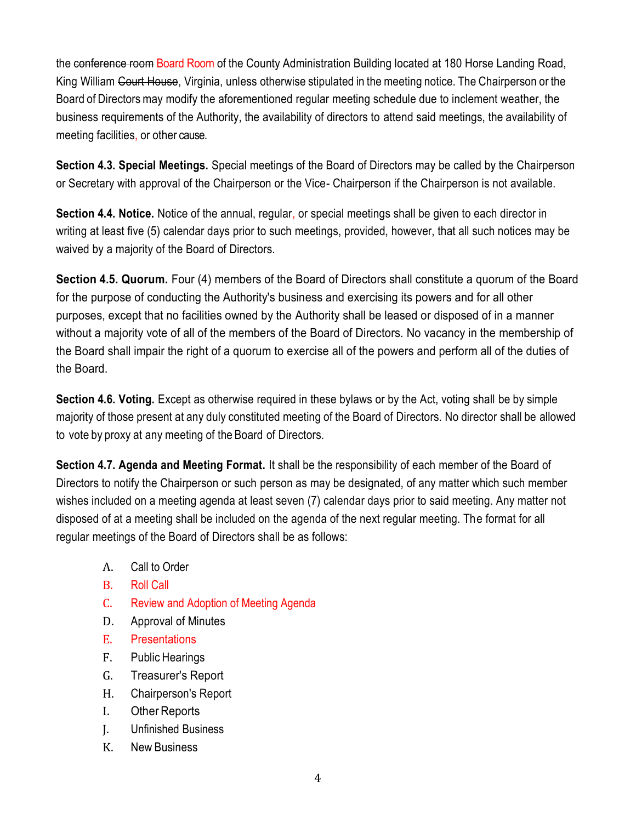the conference room Board Room of the County Administration Building located at 180 Horse Landing Road, King William Court House, Virginia, unless otherwise stipulated in the meeting notice. The Chairperson or the Board of Directorsmay modify the aforementioned regular meeting schedule due to inclement weather, the business requirements of the Authority, the availability of directors to attend said meetings, the availability of meeting facilities, or other cause.

**Section 4.3. Special Meetings.** Special meetings of the Board of Directors may be called by the Chairperson or Secretary with approval of the Chairperson or the Vice- Chairperson if the Chairperson is not available.

**Section 4.4. Notice.** Notice of the annual, regular, or special meetings shall be given to each director in writing at least five (5) calendar days prior to such meetings, provided, however, that all such notices may be waived by a majority of the Board of Directors.

**Section 4.5. Quorum.** Four (4) members of the Board of Directors shall constitute a quorum of the Board for the purpose of conducting the Authority's business and exercising its powers and for all other purposes, except that no facilities owned by the Authority shall be leased or disposed of in a manner without a majority vote of all of the members of the Board of Directors. No vacancy in the membership of the Board shall impair the right of a quorum to exercise all of the powers and perform all of the duties of the Board.

**Section 4.6. Voting.** Except as otherwise required in these bylaws or by the Act, voting shall be by simple majority of those present at any duly constituted meeting of the Board of Directors. No director shall be allowed to vote by proxy at any meeting of the Board of Directors.

**Section 4.7. Agenda and Meeting Format.** It shall be the responsibility of each member of the Board of Directors to notify the Chairperson or such person as may be designated, of any matter which such member wishes included on a meeting agenda at least seven (7) calendar days prior to said meeting. Any matter not disposed of at a meeting shall be included on the agenda of the next regular meeting. The format for all regular meetings of the Board of Directors shall be as follows:

- A. Call to Order
- B. Roll Call
- C. Review and Adoption of Meeting Agenda
- D. Approval of Minutes
- E. Presentations
- F. Public Hearings
- G. Treasurer's Report
- H. Chairperson's Report
- I. Other Reports
- J. Unfinished Business
- K. New Business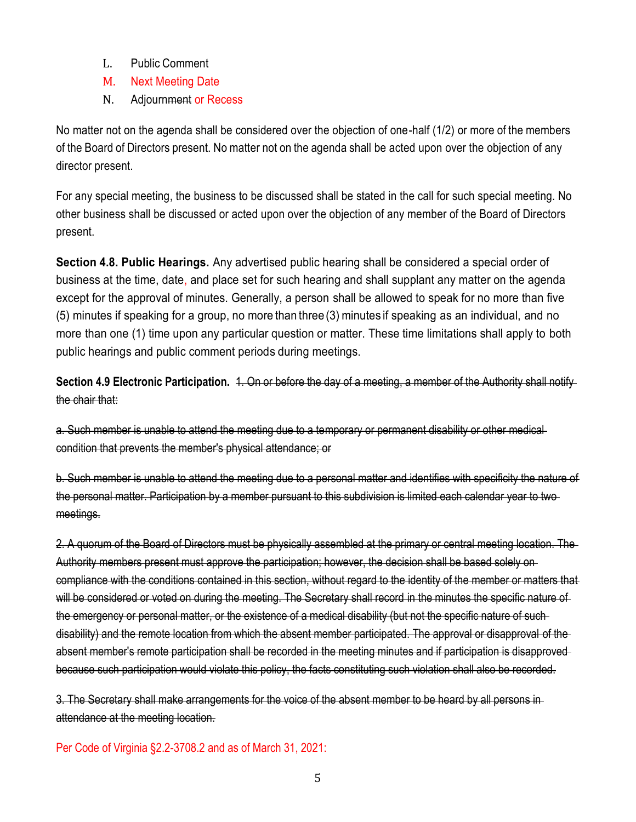- L. Public Comment
- M. Next Meeting Date
- N. Adjournment or Recess

No matter not on the agenda shall be considered over the objection of one-half (1/2) or more of the members of the Board of Directors present. No matter not on the agenda shall be acted upon over the objection of any director present.

For any special meeting, the business to be discussed shall be stated in the call for such special meeting. No other business shall be discussed or acted upon over the objection of any member of the Board of Directors present.

**Section 4.8. Public Hearings.** Any advertised public hearing shall be considered a special order of business at the time, date, and place set for such hearing and shall supplant any matter on the agenda except for the approval of minutes. Generally, a person shall be allowed to speak for no more than five (5) minutes if speaking for a group, no more than three (3)minutes if speaking as an individual, and no more than one (1) time upon any particular question or matter. These time limitations shall apply to both public hearings and public comment periods during meetings.

**Section 4.9 Electronic Participation.** 1. On or before the day of a meeting, a member of the Authority shall notify the chair that:

a. Such member is unable to attend the meeting due to a temporary or permanent disability or other medical condition that prevents the member's physical attendance; or

b. Such member is unable to attend the meeting due to a personal matter and identifies with specificity the nature of the personal matter. Participation by a member pursuant to this subdivision is limited each calendar year to two meetings.

2. A quorum of the Board of Directors must be physically assembled at the primary or central meeting location. The Authority members present must approve the participation; however, the decision shall be based solely on compliance with the conditions contained in this section, without regard to the identity of the member or matters that will be considered or voted on during the meeting. The Secretary shall record in the minutes the specific nature of the emergency or personal matter, or the existence of a medical disability (but not the specific nature of such disability) and the remote location from which the absent member participated. The approval or disapproval of the absent member's remote participation shall be recorded in the meeting minutes and if participation is disapproved because such participation would violate this policy, the facts constituting such violation shall also be recorded.

3. The Secretary shall make arrangements for the voice of the absent member to be heard by all persons in attendance at the meeting location.

Per Code of Virginia §2.2-3708.2 and as of March 31, 2021: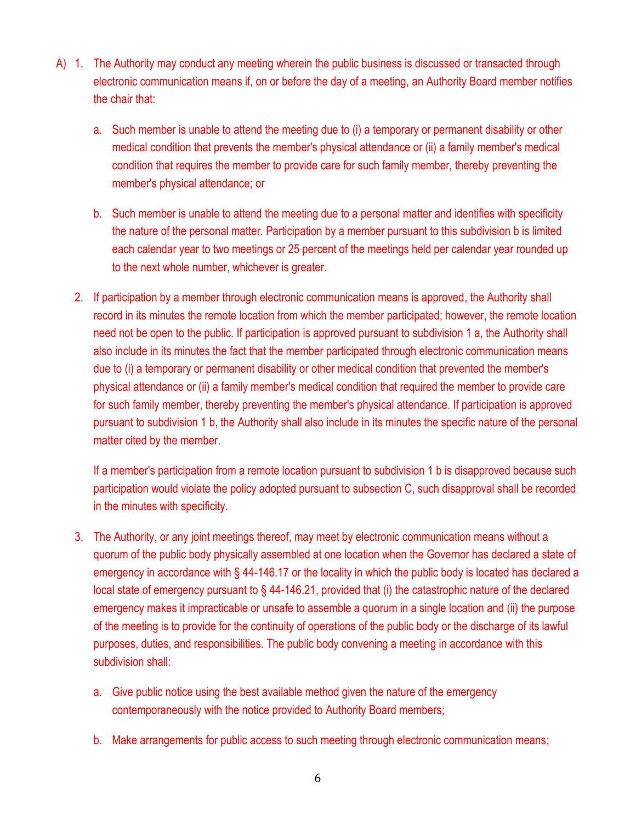- A) 1. The Authority may conduct any meeting wherein the public business is discussed or transacted through electronic communication means if, on or before the day of a meeting, an Authority Board member notifies the chair that:
	- a. Such member is unable to attend the meeting due to (i) a temporary or permanent disability or other medical condition that prevents the member's physical attendance or (ii) a family member's medical condition that requires the member to provide care for such family member, thereby preventing the member's physical attendance; or
	- b. Such member is unable to attend the meeting due to a personal matter and identifies with specificity the nature of the personal matter. Participation by a member pursuant to this subdivision b is limited each calendar year to two meetings or 25 percent of the meetings held per calendar year rounded up to the next whole number, whichever is greater.
	- 2. If participation by a member through electronic communication means is approved, the Authority shall record in its minutes the remote location from which the member participated; however, the remote location need not be open to the public. If participation is approved pursuant to subdivision 1 a, the Authority shall also include in its minutes the fact that the member participated through electronic communication means due to (i) a temporary or permanent disability or other medical condition that prevented the member's physical attendance or (ii) a family member's medical condition that required the member to provide care for such family member, thereby preventing the member's physical attendance. If participation is approved pursuant to subdivision 1 b, the Authority shall also include in its minutes the specific nature of the personal matter cited by the member.

If a member's participation from a remote location pursuant to subdivision 1 b is disapproved because such participation would violate the policy adopted pursuant to subsection C, such disapproval shall be recorded in the minutes with specificity.

- 3. The Authority, or any joint meetings thereof, may meet by electronic communication means without a quorum of the public body physically assembled at one location when the Governor has declared a state of emergency in accordance with § 44-146.17 or the locality in which the public body is located has declared a local state of emergency pursuant to § 44-146.21, provided that (i) the catastrophic nature of the declared emergency makes it impracticable or unsafe to assemble a quorum in a single location and (ii) the purpose of the meeting is to provide for the continuity of operations of the public body or the discharge of its lawful purposes, duties, and responsibilities. The public body convening a meeting in accordance with this subdivision shall:
	- a. Give public notice using the best available method given the nature of the emergency contemporaneously with the notice provided to Authority Board members;
	- b. Make arrangements for public access to such meeting through electronic communication means;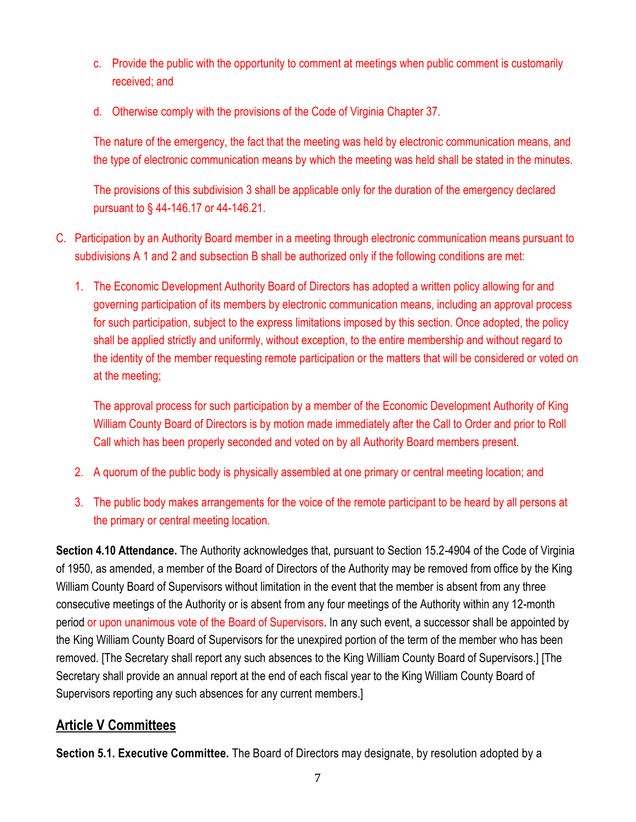- c. Provide the public with the opportunity to comment at meetings when public comment is customarily received; and
- d. Otherwise comply with the provisions of the Code of Virginia Chapter 37.

The nature of the emergency, the fact that the meeting was held by electronic communication means, and the type of electronic communication means by which the meeting was held shall be stated in the minutes.

The provisions of this subdivision 3 shall be applicable only for the duration of the emergency declared pursuant to § 44-146.17 or 44-146.21.

- C. Participation by an Authority Board member in a meeting through electronic communication means pursuant to subdivisions A 1 and 2 and subsection B shall be authorized only if the following conditions are met:
	- 1. The Economic Development Authority Board of Directors has adopted a written policy allowing for and governing participation of its members by electronic communication means, including an approval process for such participation, subject to the express limitations imposed by this section. Once adopted, the policy shall be applied strictly and uniformly, without exception, to the entire membership and without regard to the identity of the member requesting remote participation or the matters that will be considered or voted on at the meeting;

The approval process for such participation by a member of the Economic Development Authority of King William County Board of Directors is by motion made immediately after the Call to Order and prior to Roll Call which has been properly seconded and voted on by all Authority Board members present.

- 2. A quorum of the public body is physically assembled at one primary or central meeting location; and
- 3. The public body makes arrangements for the voice of the remote participant to be heard by all persons at the primary or central meeting location.

**Section 4.10 Attendance.** The Authority acknowledges that, pursuant to Section 15.2-4904 of the Code of Virginia of 1950, as amended, a member of the Board of Directors of the Authority may be removed from office by the King William County Board of Supervisors without limitation in the event that the member is absent from any three consecutive meetings of the Authority or is absent from any four meetings of the Authority within any 12-month period or upon unanimous vote of the Board of Supervisors. In any such event, a successor shall be appointed by the King William County Board of Supervisors for the unexpired portion of the term of the member who has been removed. [The Secretary shall report any such absences to the King William County Board of Supervisors.] [The Secretary shall provide an annual report at the end of each fiscal year to the King William County Board of Supervisors reporting any such absences for any current members.]

## **Article V Committees**

**Section 5.1. Executive Committee.** The Board of Directors may designate, by resolution adopted by a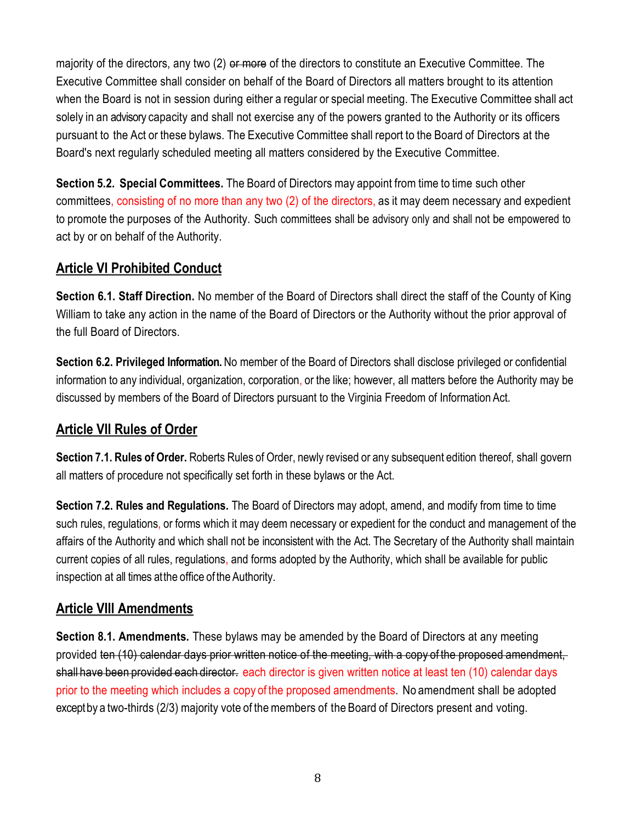majority of the directors, any two (2) or more of the directors to constitute an Executive Committee. The Executive Committee shall consider on behalf of the Board of Directors all matters brought to its attention when the Board is not in session during either a regular or special meeting. The Executive Committee shall act solely in an advisory capacity and shall not exercise any of the powers granted to the Authority or its officers pursuant to the Act or these bylaws. The Executive Committee shall report to the Board of Directors at the Board's next regularly scheduled meeting all matters considered by the Executive Committee.

**Section 5.2. Special Committees.** The Board of Directors may appoint from time to time such other committees, consisting of no more than any two (2) of the directors, as it may deem necessary and expedient to promote the purposes of the Authority. Such committees shall be advisory only and shall not be empowered to act by or on behalf of the Authority.

## **Article VI Prohibited Conduct**

**Section 6.1. Staff Direction.** No member of the Board of Directors shall direct the staff of the County of King William to take any action in the name of the Board of Directors or the Authority without the prior approval of the full Board of Directors.

**Section 6.2. Privileged Information.** No member of the Board of Directors shall disclose privileged or confidential information to any individual, organization, corporation, or the like; however, all matters before the Authority may be discussed by members of the Board of Directors pursuant to the Virginia Freedom of Information Act.

## **Article VII Rules of Order**

**Section 7.1. Rules of Order.** Roberts Rules of Order, newly revised or any subsequent edition thereof, shall govern all matters of procedure not specifically set forth in these bylaws or the Act.

**Section 7.2. Rules and Regulations.** The Board of Directors may adopt, amend, and modify from time to time such rules, regulations, or forms which it may deem necessary or expedient for the conduct and management of the affairs of the Authority and which shall not be inconsistent with the Act. The Secretary of the Authority shall maintain current copies of all rules, regulations, and forms adopted by the Authority, which shall be available for public inspection at all times atthe office of the Authority.

### **Article VIII Amendments**

**Section 8.1. Amendments.** These bylaws may be amended by the Board of Directors at any meeting provided ten (10) calendar days prior written notice of the meeting, with a copy of the proposed amendment, shall have been provided each director. each director is given written notice at least ten (10) calendar days prior to the meeting which includes a copy of the proposed amendments. No amendment shall be adopted except by a two-thirds (2/3) majority vote of the members of the Board of Directors present and voting.